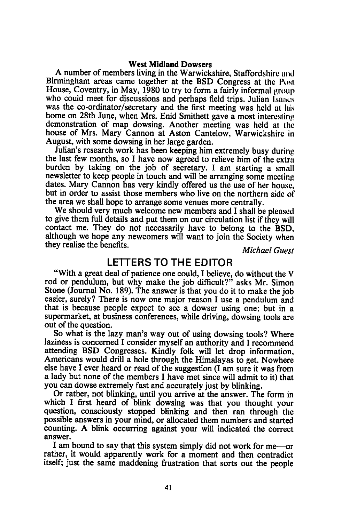## West Midland Dowsers

A number of members living in the Warwickshire, Staffordshire and Birmingham areas came together at the BSD Congress at thc Posl House, Coventry, in May, 1980 to try to form a fairly informal group who could meet for discussions and perhaps field trips. Julian Isaacs was the co-ordinator/secretary and the first meeting was held at his home on 28th June, when Mrs. Enid Smithett gave a most interesting demonstration of map dowsing. Another meeting was held at the house of Mrs. Mary Cannon at Aston Cantelow, Warwickshirc in August, with some dowsing in her large garden.

Julian's research work has been keeping him extremely busy during the last few months, so I have now agreed to relieve him of the extra burden by taking on the job of secretary. I am starting a small newsletter to keep people in touch and will be arranging some meeting dates. Mary Cannon has very kindly offered us the use of her housc. but in order to assist those members who live on the northern sidc of the area we shall hope to arrange some venues more centrally.

We should very much welcome new members and I shall be pleased to give them full details and put them on our circulation list if they will contact me. They do not necessarily have to belong to the BSD, although we hope any newcomers will want to join the Society when they realise the benefits. Michael Guest

## LETTERS TO THE EDITOR

"With a great deal of patience one could, I believe, do without the V rod or pendulum, but why make the job difficult?" asks Mr. Simon Stone (Journal No. 189). The answer is that you do it to make the job easier, surely? There is now one major reason I use a pendulum and that is because people expect to see a dowser using one; but in <sup>a</sup> supermarket, at business conferences, while driving, dowsing tools are out of the question.

So what is the lazy man's way out of using dowsing tools? Where laziness is concerned I consider myself an authority and I recommend attending BSD Congresses. Kindly folk will let drop information, Americans would drill a hole through the Himalayas to get. Nowhere else have I ever heard or read of the suggestion (I am sure it was from a lady but none of the members I have met since will admit to it) that you can dowse extremely fast and accurately just by blinking.

Or rather, not blinking, until you arrive at the answer. The form in which I first heard of blink dowsing was that you thought your question, consciously stopped blinking and then ran through the possible answers in your mind, or allocated them numbers and started counting. A blink occurring against your will indicated the correct answer.

I am bound to say that this system simply did not work for me-or rather, it would apparently work for a moment and then contradict itself; just the same maddening frustration that sorts out the people